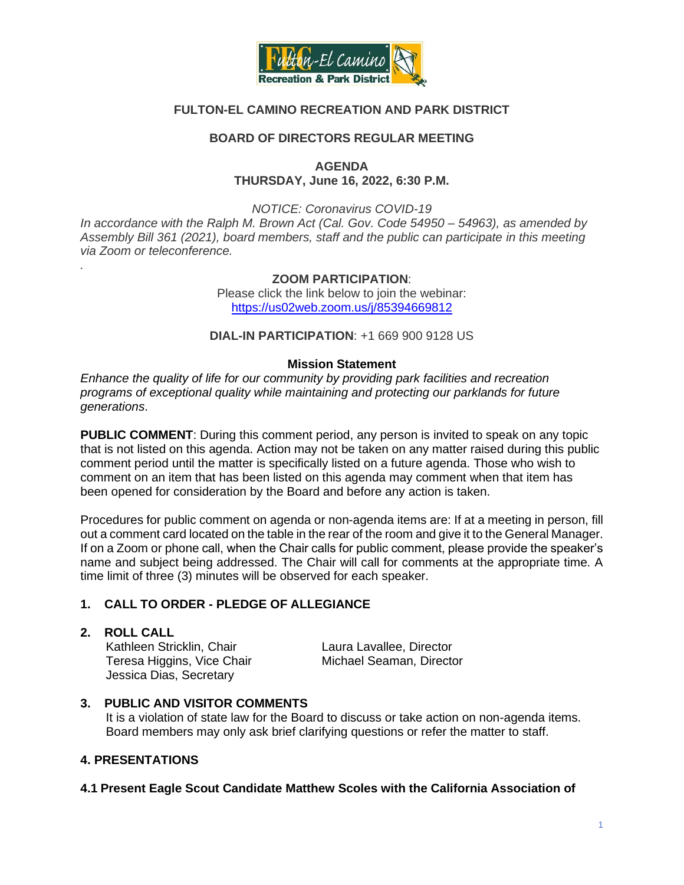

# **FULTON-EL CAMINO RECREATION AND PARK DISTRICT**

## **BOARD OF DIRECTORS REGULAR MEETING**

#### **AGENDA THURSDAY, June 16, 2022, 6:30 P.M.**

*NOTICE: Coronavirus COVID-19 In accordance with the Ralph M. Brown Act (Cal. Gov. Code 54950 – 54963), as amended by Assembly Bill 361 (2021), board members, staff and the public can participate in this meeting via Zoom or teleconference. .*

> **ZOOM PARTICIPATION**: Please click the link below to join the webinar: <https://us02web.zoom.us/j/85394669812>

**DIAL-IN PARTICIPATION**: +1 669 900 9128 US

#### **Mission Statement**

*Enhance the quality of life for our community by providing park facilities and recreation programs of exceptional quality while maintaining and protecting our parklands for future generations*.

**PUBLIC COMMENT**: During this comment period, any person is invited to speak on any topic that is not listed on this agenda. Action may not be taken on any matter raised during this public comment period until the matter is specifically listed on a future agenda. Those who wish to comment on an item that has been listed on this agenda may comment when that item has been opened for consideration by the Board and before any action is taken.

Procedures for public comment on agenda or non-agenda items are: If at a meeting in person, fill out a comment card located on the table in the rear of the room and give it to the General Manager. If on a Zoom or phone call, when the Chair calls for public comment, please provide the speaker's name and subject being addressed. The Chair will call for comments at the appropriate time. A time limit of three (3) minutes will be observed for each speaker.

## **1. CALL TO ORDER - PLEDGE OF ALLEGIANCE**

#### **2. ROLL CALL**

Kathleen Stricklin, Chair **Laura Lavallee, Director** Teresa Higgins, Vice Chair Michael Seaman, Director Jessica Dias, Secretary

#### **3. PUBLIC AND VISITOR COMMENTS**

 It is a violation of state law for the Board to discuss or take action on non-agenda items. Board members may only ask brief clarifying questions or refer the matter to staff.

## **4. PRESENTATIONS**

#### **4.1 Present Eagle Scout Candidate Matthew Scoles with the California Association of**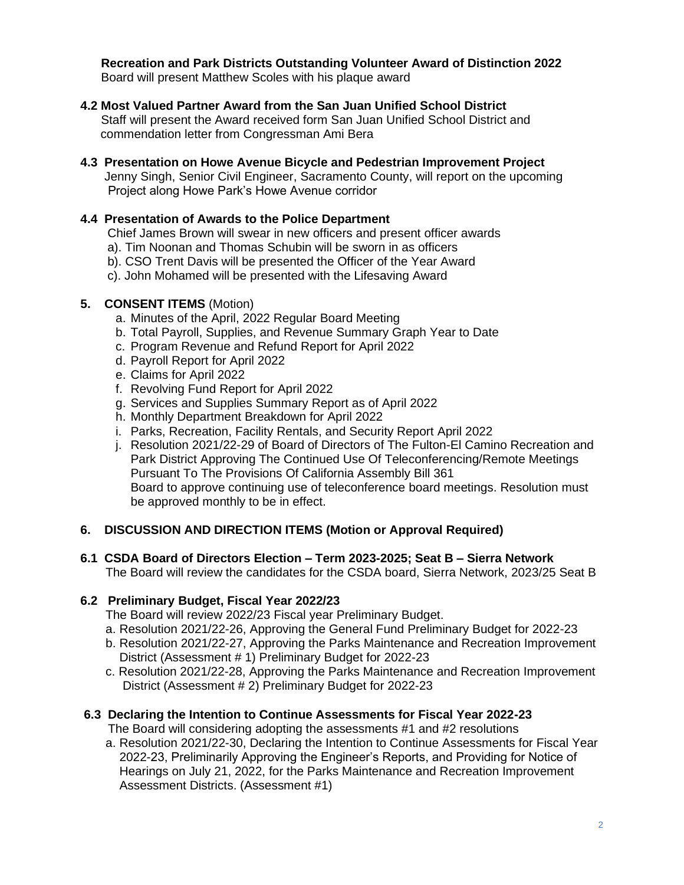**Recreation and Park Districts Outstanding Volunteer Award of Distinction 2022** Board will present Matthew Scoles with his plaque award

## **4.2 Most Valued Partner Award from the San Juan Unified School District**

 Staff will present the Award received form San Juan Unified School District and commendation letter from Congressman Ami Bera

**4.3 Presentation on Howe Avenue Bicycle and Pedestrian Improvement Project**  Jenny Singh, Senior Civil Engineer, Sacramento County, will report on the upcoming Project along Howe Park's Howe Avenue corridor

#### **4.4 Presentation of Awards to the Police Department**

Chief James Brown will swear in new officers and present officer awards

- a). Tim Noonan and Thomas Schubin will be sworn in as officers
- b). CSO Trent Davis will be presented the Officer of the Year Award
- c). John Mohamed will be presented with the Lifesaving Award

## **5. CONSENT ITEMS** (Motion)

- a. Minutes of the April, 2022 Regular Board Meeting
- b. Total Payroll, Supplies, and Revenue Summary Graph Year to Date
- c. Program Revenue and Refund Report for April 2022
- d. Payroll Report for April 2022
- e. Claims for April 2022
- f. Revolving Fund Report for April 2022
- g. Services and Supplies Summary Report as of April 2022
- h. Monthly Department Breakdown for April 2022
- i. Parks, Recreation, Facility Rentals, and Security Report April 2022
- j. Resolution 2021/22-29 of Board of Directors of The Fulton-El Camino Recreation and Park District Approving The Continued Use Of Teleconferencing/Remote Meetings Pursuant To The Provisions Of California Assembly Bill 361 Board to approve continuing use of teleconference board meetings. Resolution must be approved monthly to be in effect.

## **6. DISCUSSION AND DIRECTION ITEMS (Motion or Approval Required)**

#### **6.1 CSDA Board of Directors Election – Term 2023-2025; Seat B – Sierra Network**

The Board will review the candidates for the CSDA board, Sierra Network, 2023/25 Seat B

#### **6.2 Preliminary Budget, Fiscal Year 2022/23**

The Board will review 2022/23 Fiscal year Preliminary Budget.

- a. Resolution 2021/22-26, Approving the General Fund Preliminary Budget for 2022-23
- b. Resolution 2021/22-27, Approving the Parks Maintenance and Recreation Improvement District (Assessment # 1) Preliminary Budget for 2022-23
- c. Resolution 2021/22-28, Approving the Parks Maintenance and Recreation Improvement District (Assessment # 2) Preliminary Budget for 2022-23

#### **6.3 Declaring the Intention to Continue Assessments for Fiscal Year 2022-23**

The Board will considering adopting the assessments #1 and #2 resolutions

a. Resolution 2021/22-30, Declaring the Intention to Continue Assessments for Fiscal Year 2022-23, Preliminarily Approving the Engineer's Reports, and Providing for Notice of Hearings on July 21, 2022, for the Parks Maintenance and Recreation Improvement Assessment Districts. (Assessment #1)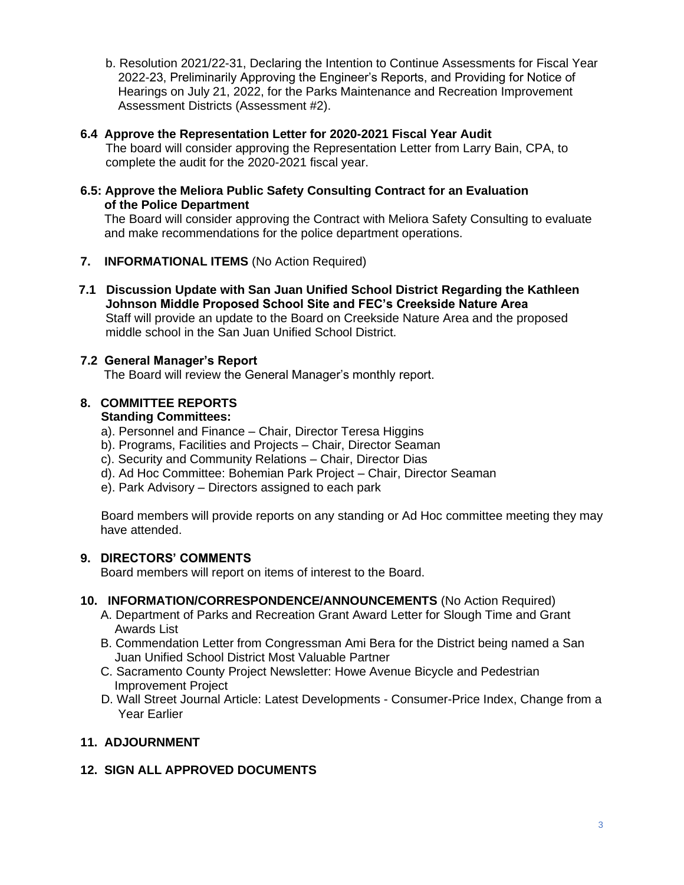b. Resolution 2021/22-31, Declaring the Intention to Continue Assessments for Fiscal Year 2022-23, Preliminarily Approving the Engineer's Reports, and Providing for Notice of Hearings on July 21, 2022, for the Parks Maintenance and Recreation Improvement Assessment Districts (Assessment #2).

# **6.4 Approve the Representation Letter for 2020-2021 Fiscal Year Audit**

The board will consider approving the Representation Letter from Larry Bain, CPA, to complete the audit for the 2020-2021 fiscal year.

## **6.5: Approve the Meliora Public Safety Consulting Contract for an Evaluation of the Police Department**

The Board will consider approving the Contract with Meliora Safety Consulting to evaluate and make recommendations for the police department operations.

- **7. INFORMATIONAL ITEMS** (No Action Required)
- **7.1 Discussion Update with San Juan Unified School District Regarding the Kathleen Johnson Middle Proposed School Site and FEC's Creekside Nature Area** Staff will provide an update to the Board on Creekside Nature Area and the proposed middle school in the San Juan Unified School District.

# **7.2 General Manager's Report**

The Board will review the General Manager's monthly report.

# **8. COMMITTEE REPORTS**

# **Standing Committees:**

- a). Personnel and Finance Chair, Director Teresa Higgins
- b). Programs, Facilities and Projects Chair, Director Seaman
- c). Security and Community Relations Chair, Director Dias
- d). Ad Hoc Committee: Bohemian Park Project Chair, Director Seaman
- e). Park Advisory Directors assigned to each park

Board members will provide reports on any standing or Ad Hoc committee meeting they may have attended.

# **9. DIRECTORS' COMMENTS**

Board members will report on items of interest to the Board.

## **10. INFORMATION/CORRESPONDENCE/ANNOUNCEMENTS** (No Action Required)

- A. Department of Parks and Recreation Grant Award Letter for Slough Time and Grant Awards List
- B. Commendation Letter from Congressman Ami Bera for the District being named a San Juan Unified School District Most Valuable Partner
- C. Sacramento County Project Newsletter: Howe Avenue Bicycle and Pedestrian Improvement Project
- D. Wall Street Journal Article: Latest Developments Consumer-Price Index, Change from a Year Earlier

# **11. ADJOURNMENT**

# **12. SIGN ALL APPROVED DOCUMENTS**